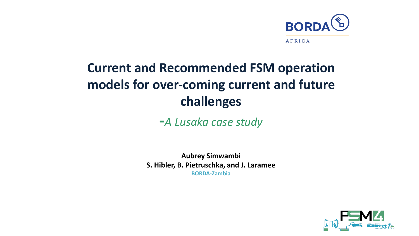

# **Current and Recommended FSM operation models for over-coming current and future challenges**

**-***A Lusaka case study*

**Aubrey Simwambi S. Hibler, B. Pietruschka, and J. Laramee BORDA-Zambia**

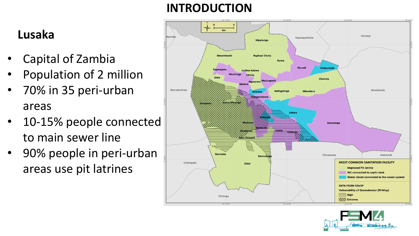### **INTRODUCTION**

### **Lusaka**

- Capital of Zambia
- Population of 2 million
- 70% in 35 peri-urban areas
- 10-15% people connected to main sewer line
- 90% people in peri-urban areas use pit latrines



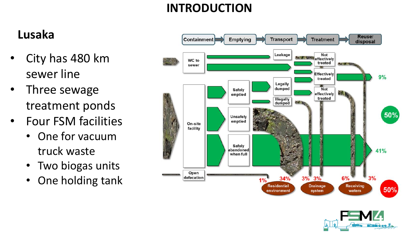### **INTRODUCTION**

# **Lusaka**

- sewer line
- Three sewage treatment ponds
- Four FSM facilities
	- One for vacuum truck waste
	- Two biogas units
	- One holding tank



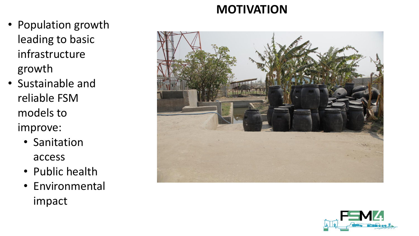### **MOTIVATION**

- Population growth leading to basic infrastructure growth
- Sustainable and reliable FSM models to improve:
	- Sanitation access
	- Public health
	- Environmental impact



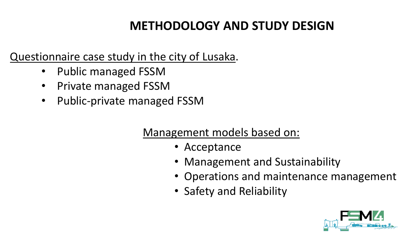# **METHODOLOGY AND STUDY DESIGN**

#### Questionnaire case study in the city of Lusaka.

- Public managed FSSM
- Private managed FSSM
- Public-private managed FSSM

#### Management models based on:

- Acceptance
- Management and Sustainability
- Operations and maintenance management
- Safety and Reliability

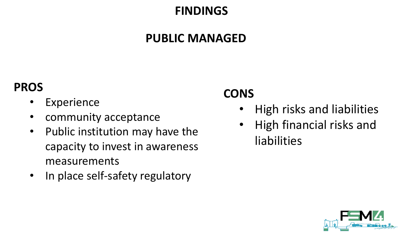#### **FINDINGS**

### **PUBLIC MANAGED**

### **PROS**

- Experience
- community acceptance
- Public institution may have the capacity to invest in awareness measurements
- In place self-safety regulatory

### **CONS**

- High risks and liabilities
- High financial risks and liabilities

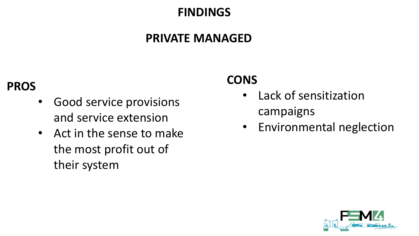### **FINDINGS**

### **PRIVATE MANAGED**

#### **PROS**

- Good service provisions and service extension
- Act in the sense to make the most profit out of their system

## **CONS**

- Lack of sensitization campaigns
- Environmental neglection

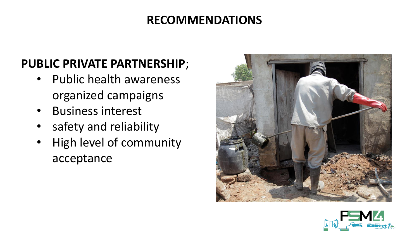### **RECOMMENDATIONS**

# **PUBLIC PRIVATE PARTNERSHIP**;

- Public health awareness organized campaigns
- Business interest
- safety and reliability
- High level of community acceptance



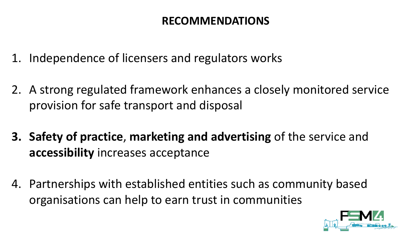#### **RECOMMENDATIONS**

- 1. Independence of licensers and regulators works
- 2. A strong regulated framework enhances a closely monitored service provision for safe transport and disposal
- **3. Safety of practice**, **marketing and advertising** of the service and **accessibility** increases acceptance
- 4. Partnerships with established entities such as community based organisations can help to earn trust in communities

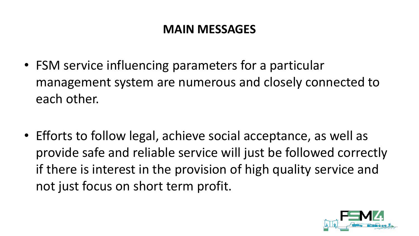### **MAIN MESSAGES**

- FSM service influencing parameters for a particular management system are numerous and closely connected to each other.
- Efforts to follow legal, achieve social acceptance, as well as provide safe and reliable service will just be followed correctly if there is interest in the provision of high quality service and not just focus on short term profit.